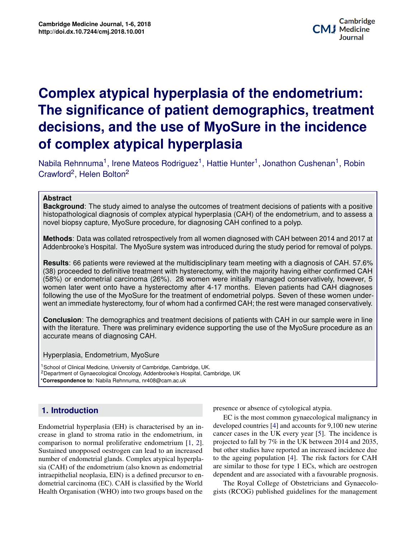# **Potential Applications of Three-dimensional Biomprom argelerative practative and conditionally depth and The significance of patient demographics, treatment** decisions, and the use of MyoSure in the incidence **Complex atypical hyperplasia of the endometrium: of complex atypical hyperplasia**

Nabila Rehnnuma<sup>1</sup>, Irene Mateos Rodriguez<sup>1</sup>, Hattie Hunter<sup>1</sup>, Jonathon Cushenan<sup>1</sup>, Robin Crawford<sup>2</sup>, Helen Bolton<sup>2</sup>

## **Abstract**

 $\mathcal{P}$ , and to assess a **Background**: The study aimed to analyse the outcomes of treatment decisions of patients with a positive histopathological diagnosis of complex atypical hyperplasia (CAH) of the endometrium, and to assess a novel biopsy capture, MyoSure procedure, for diagnosing CAH confined to a polyp.

 $\begin{bmatrix} 1 & 2 \\ 2 & 3 \end{bmatrix}$ **Methods**: Data was collated retrospectively from all women diagnosed with CAH between 2014 and 2017 at Addenbrooke's Hospital. The MyoSure system was introduced during the study period for removal of polyps.

**Results**: 66 patients were reviewed at the multidisciplinary team meeting with a diagnosis of CAH. 57.6% (38) proceeded to definitive treatment with hysterectomy, with the majority having either confirmed CAH (58%) or endometrial carcinoma (26%). 28 women were initially managed conservatively, however, 5 women later went onto have a hysterectomy after 4-17 months. Eleven patients had CAH diagnoses following the use of the MyoSure for the treatment of endometrial polyps. Seven of these women underwent an immediate hysterectomy, four of whom had a confirmed CAH; the rest were managed conservatively.

**Conclusion**: The demographics and treatment decisions of patients with CAH in our sample were in line with the literature. There was preliminary evidence supporting the use of the MyoSure procedure as an accurate means of diagnosing CAH.

Hyperplasia, Endometrium, MyoSure

<sup>1</sup> School of Clinical Medicine, University of Cambridge, Cambridge, UK. <sup>2</sup>Department of Gynaecological Oncology, Addenbrooke's Hospital, Cambridge, UK \***Correspondence to**: Nabila Rehnnuma, nr408@cam.ac.uk

## **Contents 1. Introduction**

Endometrial hyperplasia (EH) is characterised by an increase in gland to stroma ratio in the endometrium, in **3 Principles of Application/Methods of Bioprinting 2** Sustained unopposed oestrogen can lead to an increased number of endometrial glands. Complex atypical hyperpla- $\frac{1}{2}$  intraepithelial neoplasia, EIN) is a defined precursor to endometrial carcinoma (EC). CAH is classified by the World **5 Conclusion 4** Health Organisation (WHO) into two groups based on the comparison to normal proliferative endometrium [1, 2]. sia (CAH) of the endometrium (also known as endometrial

**Culture of organisms** in 1938, which described the equipment of cytological atypia.

described the equipment and methods which made the *in vitro* maintenance an in-<br>developed countries [\[4\]](#page-5-2) and accounts for  $9,100$  new uterine m, in cancer cases in the UK every year [5]. The incidence is<br> $F_1$  21 expected to fall by 7% in the UK between 2014 and 2035  $\frac{1}{\text{1}}$  but other studies have reported an increased incidence due to the ageing population  $[4]$ . The risk ractors for CAH are similar to those for type 1 ECs, which are oestrogen decided of Medicine and Medicine of the course of type  $\overline{P}$  Medicine are of the course of the course of the course of the course of the course of the course of the course of the course of the course of the course of th EC is the most common gynaecological malignancy in [1, 2]. projected to fall by  $7\%$  in the UK between 2014 and 2035, perplace-to the ageing population  $[4]$ . The risk factors for CAH

**1 Background**

It can be argued that the concept of bioengineering began when Alexis Car-

world The Royal College of Obstetuctians and Oynaccolotion the gists (RCOG) published guidelines for the management World The Royal College of Obstetricians and Gynaecolomedicine, bioprinting is beginning to play a role in regener-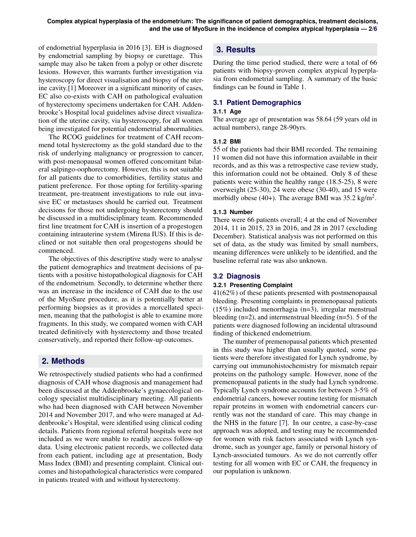of endometrial hyperplasia in 2016 [\[3\]](#page-5-5). EH is diagnosed by endometrial sampling by biopsy or curettage. This sample may also be taken from a polyp or other discrete lesions. However, this warrants further investigation via hysteroscopy for direct visualisation and biopsy of the uterine cavity.[\[1\]](#page-5-0) Moreover in a significant minority of cases, EC also co-exists with CAH on pathological evaluation of hysterectomy specimens undertaken for CAH. Addenbrooke's Hospital local guidelines advise direct visualization of the uterine cavity, via hysteroscopy, for all women being investigated for potential endometrial abnormalities.

The RCOG guidelines for treatment of CAH recommend total hysterectomy as the gold standard due to the risk of underlying malignancy or progression to cancer, with post-menopausal women offered concomitant bilateral salpingo-oophorectomy. However, this is not suitable for all patients due to comorbidities, fertility status and patient preference. For those opting for fertility-sparing treatment, pre-treatment investigations to rule out invasive EC or metastases should be carried out. Treatment decisions for those not undergoing hysterectomy should be discussed in a multidisciplinary team. Recommended first line treatment for CAH is insertion of a progestogen containing intrauterine system (Mirena IUS). If this is declined or not suitable then oral progestogens should be commenced.

The objectives of this descriptive study were to analyse the patient demographics and treatment decisions of patients with a positive histopathological diagnosis for CAH of the endometrium. Secondly, to determine whether there was an increase in the incidence of CAH due to the use of the MyoSure procedure, as it is potentially better at performing biopsies as it provides a morcellated specimen, meaning that the pathologist is able to examine more fragments. In this study, we compared women with CAH treated definitively with hysterectomy and those treated conservatively, and reported their follow-up outcomes.

## **2. Methods**

We retrospectively studied patients who had a confirmed diagnosis of CAH whose diagnosis and management had been discussed at the Addenbrooke's gynaecological oncology specialist multidisciplinary meeting. All patients who had been diagnosed with CAH between November 2014 and November 2017, and who were managed at Addenbrooke's Hospital, were identified using clinical coding details. Patients from regional referral hospitals were not included as we were unable to readily access follow-up data. Using electronic patient records, we collected data from each patient, including age at presentation, Body Mass Index (BMI) and presenting complaint. Clinical outcomes and histopathological characteristics were compared in patients treated with and without hysterectomy.

## **3. Results**

During the time period studied, there were a total of 66 patients with biopsy-proven complex atypical hyperplasia from endometrial sampling. A summary of the basic findings can be found in Table 1.

## **3.1 Patient Demographics**

#### **3.1.1 Age**

The average age of presentation was 58.64 (59 years old in actual numbers), range 28-90yrs.

## **3.1.2 BMI**

55 of the patients had their BMI recorded. The remaining 11 women did not have this information available in their records, and as this was a retrospective case review study, this information could not be obtained. Only 8 of these patients were within the healthy range (18.5-25), 8 were overweight (25-30), 24 were obese (30-40), and 15 were morbidly obese (40+). The average BMI was  $35.2 \text{ kg/m}^2$ .

## **3.1.3 Number**

There were 66 patients overall; 4 at the end of November 2014, 11 in 2015, 23 in 2016, and 28 in 2017 (excluding December). Statistical analysis was not performed on this set of data, as the study was limited by small numbers, meaning differences were unlikely to be identified, and the baseline referral rate was also unknown.

## **3.2 Diagnosis**

## **3.2.1 Presenting Complaint**

41(62%) of these patients presented with postmenopausal bleeding. Presenting complaints in premenopausal patients (15%) included menorrhagia (n=3), irregular menstrual bleeding  $(n=2)$ , and intermenstrual bleeding  $(n=5)$ . 5 of the patients were diagnosed following an incidental ultrasound finding of thickened endometrium.

The number of premenopausal patients which presented in this study was higher than usually quoted, some patients were therefore investigated for Lynch syndrome, by carrying out immunohistochemistry for mismatch repair proteins on the pathology sample. However, none of the premenopausal patients in the study had Lynch syndrome. Typically Lynch syndrome accounts for between 3-5% of endometrial cancers, however routine testing for mismatch repair proteins in women with endometrial cancers currently was not the standard of care. This may change in the NHS in the future [\[7\]](#page-5-6). In our centre, a case-by-case approach was adopted, and testing may be recommended for women with risk factors associated with Lynch syndrome, such as younger age, family or personal history of Lynch-associated tumours. As we do not currently offer testing for all women with EC or CAH, the frequency in our population is unknown.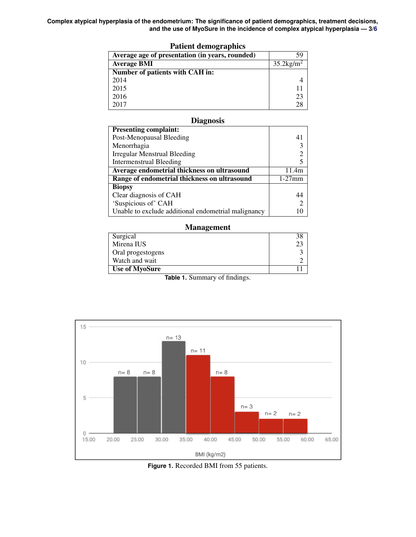**Complex atypical hyperplasia of the endometrium: The significance of patient demographics, treatment decisions, and the use of MyoSure in the incidence of complex atypical hyperplasia — 3[/6](#page-5-4)**

| Average age of presentation (in years, rounded) |                          |
|-------------------------------------------------|--------------------------|
| <b>Average BMI</b>                              | $35.2$ kg/m <sup>2</sup> |
| Number of patients with CAH in:                 |                          |
| 2014                                            |                          |
| 2015                                            |                          |
| 2016                                            | 23                       |
| 2017                                            |                          |
|                                                 |                          |

## Patient demographics

## **Diagnosis**

| <b>Presenting complaint:</b>                        |                |
|-----------------------------------------------------|----------------|
| Post-Menopausal Bleeding                            |                |
| Menorrhagia                                         |                |
| <b>Irregular Menstrual Bleeding</b>                 |                |
| <b>Intermenstrual Bleeding</b>                      |                |
| Average endometrial thickness on ultrasound         | 11.4m          |
| Range of endometrial thickness on ultrasound        | $1-27$ mm      |
| <b>Biopsy</b>                                       |                |
| Clear diagnosis of CAH                              | 44             |
| 'Suspicious of' CAH                                 | $\overline{c}$ |
| Unable to exclude additional endometrial malignancy |                |

#### Management

| Surgical                                |  |
|-----------------------------------------|--|
| Mirena IUS                              |  |
| Oral progestogens                       |  |
| Watch and wait                          |  |
| <b>Use of MyoSure</b>                   |  |
| $\sim$ $\sim$ $\sim$<br>$\sim$<br>_____ |  |

**Table 1.** Summary of findings.



**Figure 1.** Recorded BMI from 55 patients.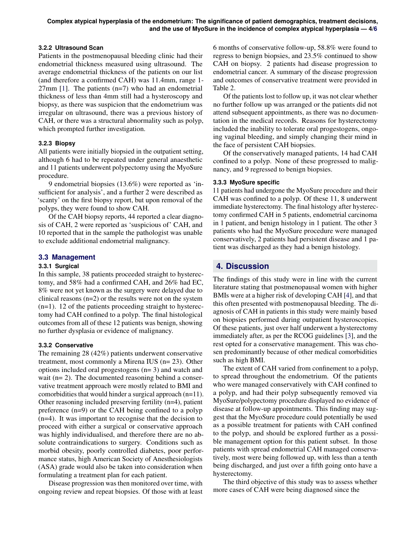## **3.2.2 Ultrasound Scan**

Patients in the postmenopausal bleeding clinic had their endometrial thickness measured using ultrasound. The average endometrial thickness of the patients on our list (and therefore a confirmed CAH) was 11.4mm, range 1-  $27$ mm [\[1\]](#page-5-0). The patients (n=7) who had an endometrial thickness of less than 4mm still had a hysteroscopy and biopsy, as there was suspicion that the endometrium was irregular on ultrasound, there was a previous history of CAH, or there was a structural abnormality such as polyp, which prompted further investigation.

## **3.2.3 Biopsy**

All patients were initially biopsied in the outpatient setting, although 6 had to be repeated under general anaesthetic and 11 patients underwent polypectomy using the MyoSure procedure.

9 endometrial biopsies (13.6%) were reported as 'insufficient for analysis', and a further 2 were described as 'scanty' on the first biopsy report, but upon removal of the polyps, they were found to show CAH.

Of the CAH biopsy reports, 44 reported a clear diagnosis of CAH, 2 were reported as 'suspicious of' CAH, and 10 reported that in the sample the pathologist was unable to exclude additional endometrial malignancy.

## **3.3 Management**

## **3.3.1 Surgical**

In this sample, 38 patients proceeded straight to hysterectomy, and 58% had a confirmed CAH, and 26% had EC, 8% were not yet known as the surgery were delayed due to clinical reasons (n=2) or the results were not on the system  $(n=1)$ . 12 of the patients proceeding straight to hysterectomy had CAH confined to a polyp. The final histological outcomes from all of these 12 patients was benign, showing no further dysplasia or evidence of malignancy.

## **3.3.2 Conservative**

The remaining 28 (42%) patients underwent conservative treatment, most commonly a Mirena IUS (n= 23). Other options included oral progestogens (n= 3) and watch and wait (n= 2). The documented reasoning behind a conservative treatment approach were mostly related to BMI and comorbidities that would hinder a surgical approach (n=11). Other reasoning included preserving fertility (n=4), patient preference (n=9) or the CAH being confined to a polyp (n=4). It was important to recognise that the decision to proceed with either a surgical or conservative approach was highly individualised, and therefore there are no absolute contraindications to surgery. Conditions such as morbid obesity, poorly controlled diabetes, poor performance status, high American Society of Anesthesiologists (ASA) grade would also be taken into consideration when formulating a treatment plan for each patient.

Disease progression was then monitored over time, with ongoing review and repeat biopsies. Of those with at least

6 months of conservative follow-up, 58.8% were found to regress to benign biopsies, and 23.5% continued to show CAH on biopsy. 2 patients had disease progression to endometrial cancer. A summary of the disease progression and outcomes of conservative treatment were provided in Table 2.

Of the patients lost to follow up, it was not clear whether no further follow up was arranged or the patients did not attend subsequent appointments, as there was no documentation in the medical records. Reasons for hysterectomy included the inability to tolerate oral progestogens, ongoing vaginal bleeding, and simply changing their mind in the face of persistent CAH biopsies.

Of the conservatively managed patients, 14 had CAH confined to a polyp. None of these progressed to malignancy, and 9 regressed to benign biopsies.

## **3.3.3 MyoSure specific**

11 patients had undergone the MyoSure procedure and their CAH was confined to a polyp. Of these 11, 8 underwent immediate hysterectomy. The final histology after hysterectomy confirmed CAH in 5 patients, endometrial carcinoma in 1 patient, and benign histology in 1 patient. The other 3 patients who had the MyoSure procedure were managed conservatively, 2 patients had persistent disease and 1 patient was discharged as they had a benign histology.

## **4. Discussion**

The findings of this study were in line with the current literature stating that postmenopausal women with higher BMIs were at a higher risk of developing CAH [\[4\]](#page-5-2), and that this often presented with postmenopausal bleeding. The diagnosis of CAH in patients in this study were mainly based on biopsies performed during outpatient hysteroscopies. Of these patients, just over half underwent a hysterectomy immediately after, as per the RCOG guidelines [\[3\]](#page-5-5), and the rest opted for a conservative management. This was chosen predominantly because of other medical comorbidities such as high BMI.

The extent of CAH varied from confinement to a polyp, to spread throughout the endometrium. Of the patients who were managed conservatively with CAH confined to a polyp, and had their polyp subsequently removed via MyoSure/polypectomy procedure displayed no evidence of disease at follow-up appointments. This finding may suggest that the MyoSure procedure could potentially be used as a possible treatment for patients with CAH confined to the polyp, and should be explored further as a possible management option for this patient subset. In those patients with spread endometrial CAH managed conservatively, most were being followed up, with less than a tenth being discharged, and just over a fifth going onto have a hysterectomy.

The third objective of this study was to assess whether more cases of CAH were being diagnosed since the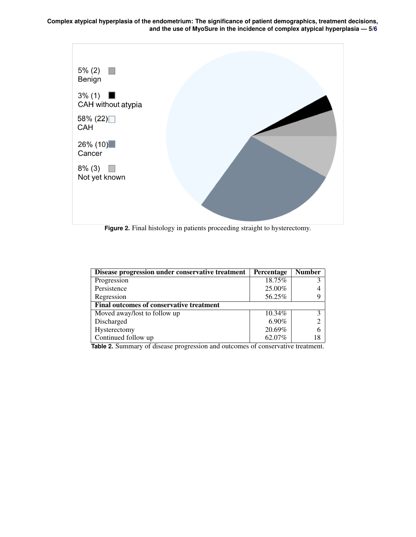**Complex atypical hyperplasia of the endometrium: The significance of patient demographics, treatment decisions, and the use of MyoSure in the incidence of complex atypical hyperplasia — 5[/6](#page-5-4)**



**Figure 2.** Final histology in patients proceeding straight to hysterectomy.

| Disease progression under conservative treatment | Percentage | <b>Number</b>         |
|--------------------------------------------------|------------|-----------------------|
| Progression                                      | 18.75%     |                       |
| Persistence                                      | 25.00%     |                       |
| Regression                                       | 56.25%     |                       |
| Final outcomes of conservative treatment         |            |                       |
| Moved away/lost to follow up                     | $10.34\%$  | $\mathbf{\mathbf{a}}$ |
| Discharged                                       | $6.90\%$   |                       |
| Hysterectomy                                     | 20.69%     |                       |
| Continued follow up                              | 62.07%     |                       |

**Table 2.** Summary of disease progression and outcomes of conservative treatment.